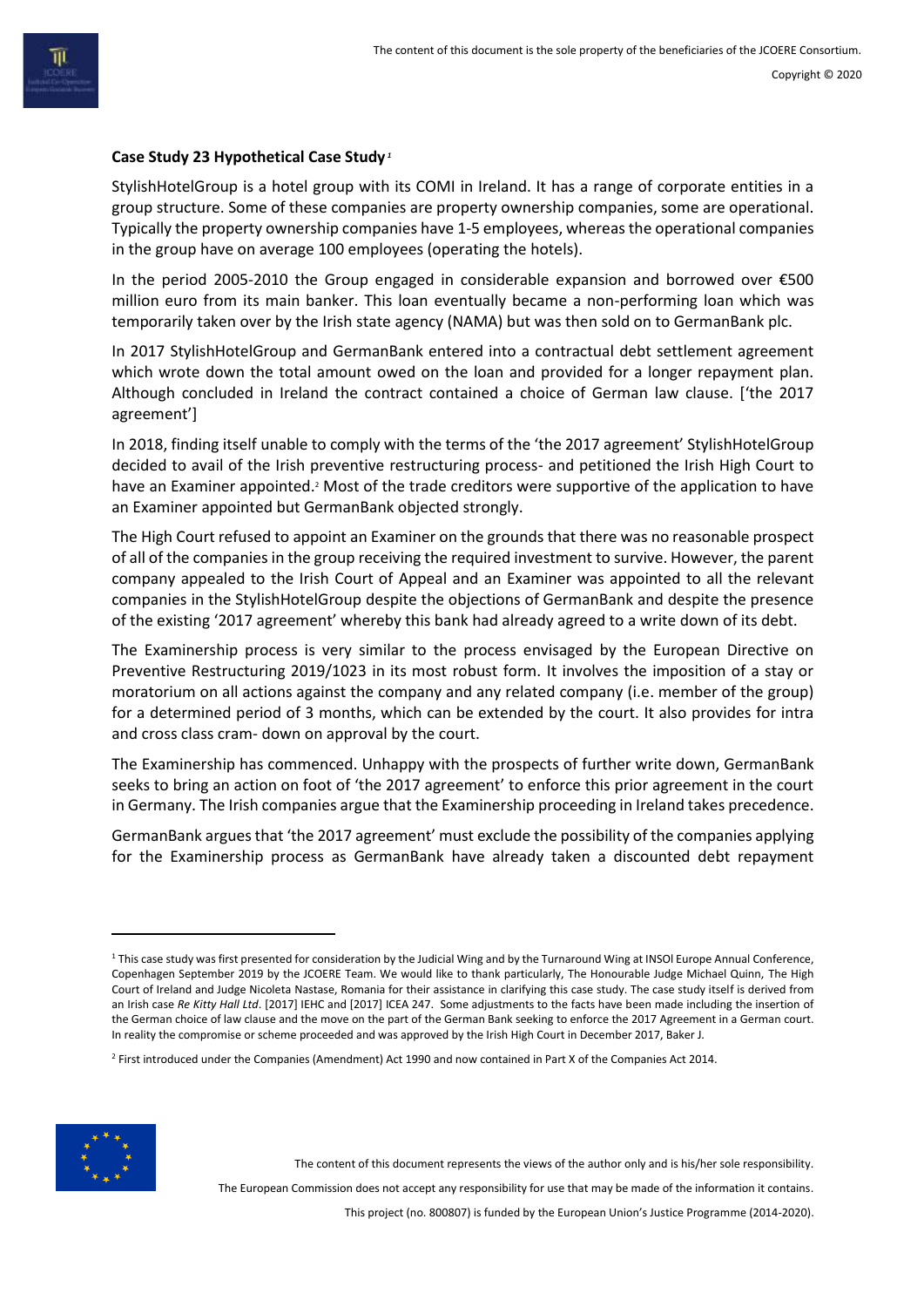### **Case Study 23 Hypothetical Case Study** *<sup>1</sup>*

StylishHotelGroup is a hotel group with its COMI in Ireland. It has a range of corporate entities in a group structure. Some of these companies are property ownership companies, some are operational. Typically the property ownership companies have 1-5 employees, whereas the operational companies in the group have on average 100 employees (operating the hotels).

In the period 2005-2010 the Group engaged in considerable expansion and borrowed over €500 million euro from its main banker. This loan eventually became a non-performing loan which was temporarily taken over by the Irish state agency (NAMA) but was then sold on to GermanBank plc.

In 2017 StylishHotelGroup and GermanBank entered into a contractual debt settlement agreement which wrote down the total amount owed on the loan and provided for a longer repayment plan. Although concluded in Ireland the contract contained a choice of German law clause. ['the 2017 agreement']

In 2018, finding itself unable to comply with the terms of the 'the 2017 agreement' StylishHotelGroup decided to avail of the Irish preventive restructuring process- and petitioned the Irish High Court to have an Examiner appointed.<sup>2</sup> Most of the trade creditors were supportive of the application to have an Examiner appointed but GermanBank objected strongly.

The High Court refused to appoint an Examiner on the grounds that there was no reasonable prospect of all of the companies in the group receiving the required investment to survive. However, the parent company appealed to the Irish Court of Appeal and an Examiner was appointed to all the relevant companies in the StylishHotelGroup despite the objections of GermanBank and despite the presence of the existing '2017 agreement' whereby this bank had already agreed to a write down of its debt.

The Examinership process is very similar to the process envisaged by the European Directive on Preventive Restructuring 2019/1023 in its most robust form. It involves the imposition of a stay or moratorium on all actions against the company and any related company (i.e. member of the group) for a determined period of 3 months, which can be extended by the court. It also provides for intra and cross class cram- down on approval by the court.

The Examinership has commenced. Unhappy with the prospects of further write down, GermanBank seeks to bring an action on foot of 'the 2017 agreement' to enforce this prior agreement in the court in Germany. The Irish companies argue that the Examinership proceeding in Ireland takes precedence.

GermanBank argues that 'the 2017 agreement' must exclude the possibility of the companies applying for the Examinership process as GermanBank have already taken a discounted debt repayment

<sup>2</sup> First introduced under the Companies (Amendment) Act 1990 and now contained in Part X of the Companies Act 2014.



The content of this document represents the views of the author only and is his/her sole responsibility.

The European Commission does not accept any responsibility for use that may be made of the information it contains.

This project (no. 800807) is funded by the European Union's Justice Programme (2014-2020).

<sup>&</sup>lt;sup>1</sup> This case study was first presented for consideration by the Judicial Wing and by the Turnaround Wing at INSOI Europe Annual Conference, Copenhagen September 2019 by the JCOERE Team. We would like to thank particularly, The Honourable Judge Michael Quinn, The High Court of Ireland and Judge Nicoleta Nastase, Romania for their assistance in clarifying this case study. The case study itself is derived from an Irish case *Re Kitty Hall Ltd*. [2017] IEHC and [2017] ICEA 247. Some adjustments to the facts have been made including the insertion of the German choice of law clause and the move on the part of the German Bank seeking to enforce the 2017 Agreement in a German court. In reality the compromise or scheme proceeded and was approved by the Irish High Court in December 2017, Baker J.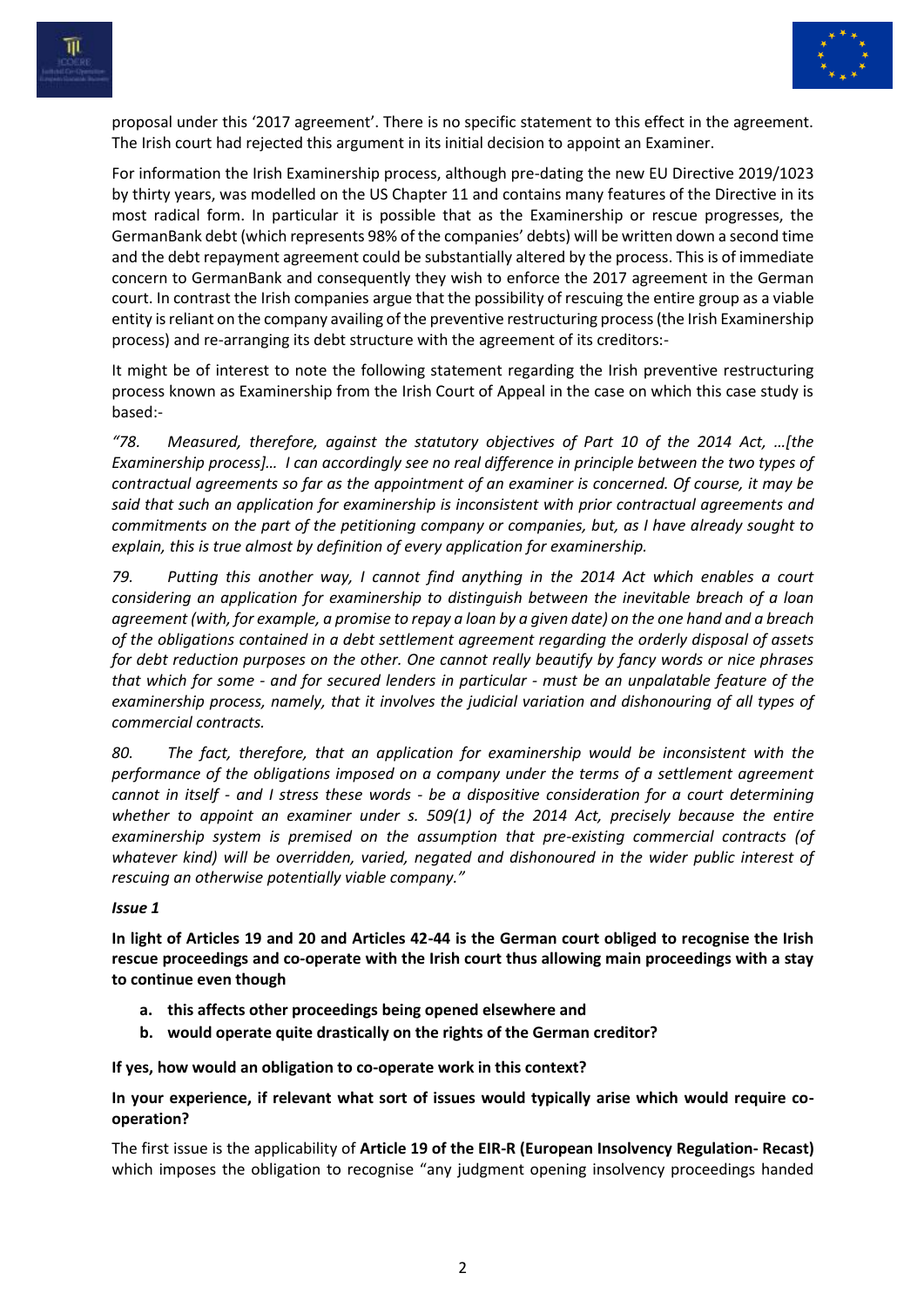



proposal under this '2017 agreement'. There is no specific statement to this effect in the agreement. The Irish court had rejected this argument in its initial decision to appoint an Examiner.

For information the Irish Examinership process, although pre-dating the new EU Directive 2019/1023 by thirty years, was modelled on the US Chapter 11 and contains many features of the Directive in its most radical form. In particular it is possible that as the Examinership or rescue progresses, the GermanBank debt (which represents 98% of the companies' debts) will be written down a second time and the debt repayment agreement could be substantially altered by the process. This is of immediate concern to GermanBank and consequently they wish to enforce the 2017 agreement in the German court. In contrast the Irish companies argue that the possibility of rescuing the entire group as a viable entity is reliant on the company availing of the preventive restructuring process (the Irish Examinership process) and re-arranging its debt structure with the agreement of its creditors:-

It might be of interest to note the following statement regarding the Irish preventive restructuring process known as Examinership from the Irish Court of Appeal in the case on which this case study is based:-

*"78. Measured, therefore, against the statutory objectives of Part 10 of the 2014 Act, …[the Examinership process]… I can accordingly see no real difference in principle between the two types of contractual agreements so far as the appointment of an examiner is concerned. Of course, it may be said that such an application for examinership is inconsistent with prior contractual agreements and commitments on the part of the petitioning company or companies, but, as I have already sought to explain, this is true almost by definition of every application for examinership.*

*79. Putting this another way, I cannot find anything in the 2014 Act which enables a court considering an application for examinership to distinguish between the inevitable breach of a loan agreement (with, for example, a promise to repay a loan by a given date) on the one hand and a breach of the obligations contained in a debt settlement agreement regarding the orderly disposal of assets for debt reduction purposes on the other. One cannot really beautify by fancy words or nice phrases that which for some - and for secured lenders in particular - must be an unpalatable feature of the examinership process, namely, that it involves the judicial variation and dishonouring of all types of commercial contracts.*

*80. The fact, therefore, that an application for examinership would be inconsistent with the performance of the obligations imposed on a company under the terms of a settlement agreement cannot in itself - and I stress these words - be a dispositive consideration for a court determining whether to appoint an examiner under s. 509(1) of the 2014 Act, precisely because the entire examinership system is premised on the assumption that pre-existing commercial contracts (of whatever kind) will be overridden, varied, negated and dishonoured in the wider public interest of rescuing an otherwise potentially viable company."* 

# *Issue 1*

**In light of Articles 19 and 20 and Articles 42-44 is the German court obliged to recognise the Irish rescue proceedings and co-operate with the Irish court thus allowing main proceedings with a stay to continue even though** 

- **a. this affects other proceedings being opened elsewhere and**
- **b. would operate quite drastically on the rights of the German creditor?**

**If yes, how would an obligation to co-operate work in this context?** 

**In your experience, if relevant what sort of issues would typically arise which would require cooperation?**

The first issue is the applicability of **Article 19 of the EIR-R (European Insolvency Regulation- Recast)** which imposes the obligation to recognise "any judgment opening insolvency proceedings handed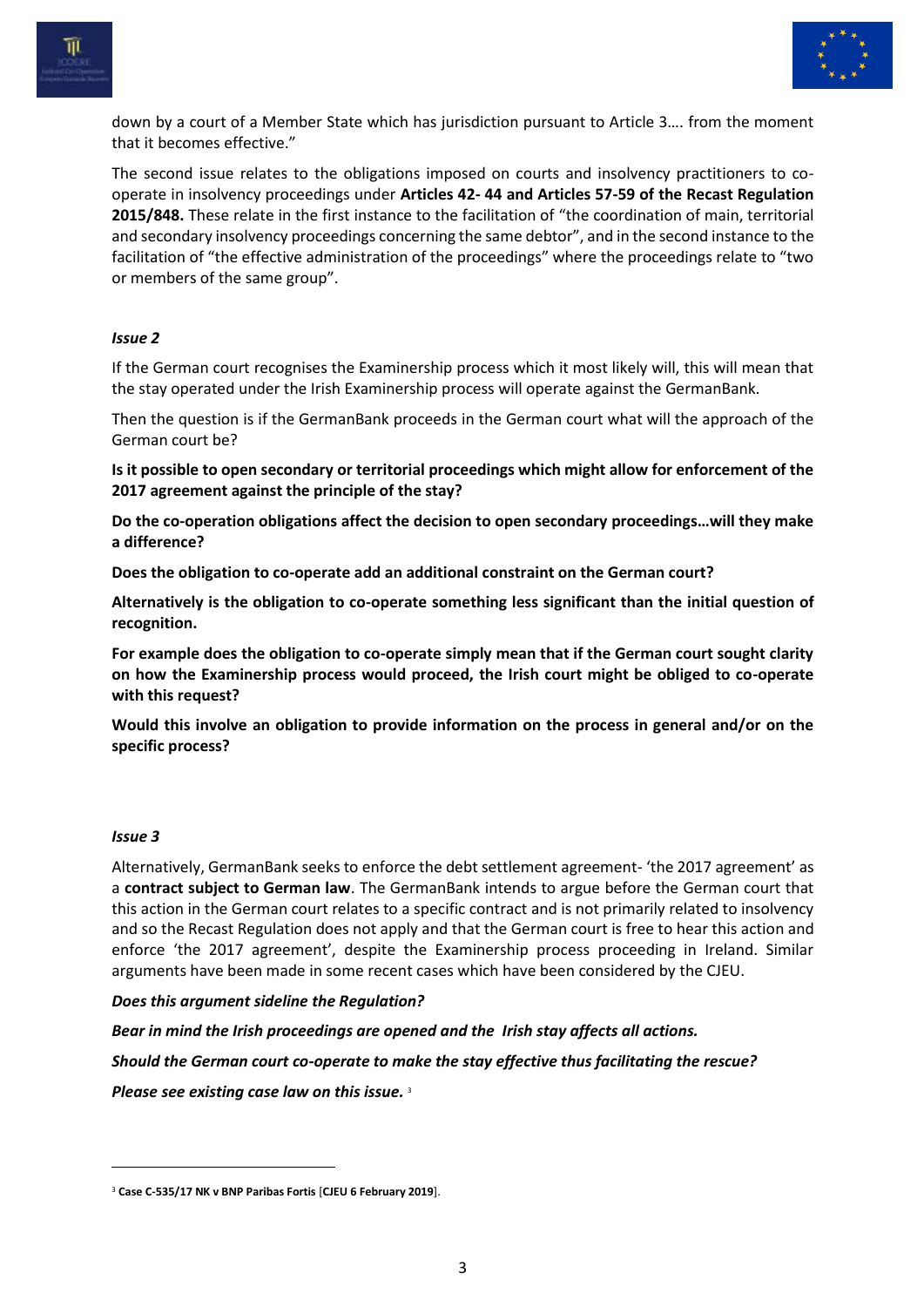



down by a court of a Member State which has jurisdiction pursuant to Article 3…. from the moment that it becomes effective."

The second issue relates to the obligations imposed on courts and insolvency practitioners to cooperate in insolvency proceedings under **Articles 42- 44 and Articles 57-59 of the Recast Regulation 2015/848.** These relate in the first instance to the facilitation of "the coordination of main, territorial and secondary insolvency proceedings concerning the same debtor", and in the second instance to the facilitation of "the effective administration of the proceedings" where the proceedings relate to "two or members of the same group".

# *Issue 2*

If the German court recognises the Examinership process which it most likely will, this will mean that the stay operated under the Irish Examinership process will operate against the GermanBank.

Then the question is if the GermanBank proceeds in the German court what will the approach of the German court be?

**Is it possible to open secondary or territorial proceedings which might allow for enforcement of the 2017 agreement against the principle of the stay?**

**Do the co-operation obligations affect the decision to open secondary proceedings…will they make a difference?**

**Does the obligation to co-operate add an additional constraint on the German court?**

**Alternatively is the obligation to co-operate something less significant than the initial question of recognition.** 

**For example does the obligation to co-operate simply mean that if the German court sought clarity on how the Examinership process would proceed, the Irish court might be obliged to co-operate with this request?** 

**Would this involve an obligation to provide information on the process in general and/or on the specific process?**

# *Issue 3*

Alternatively, GermanBank seeks to enforce the debt settlement agreement- 'the 2017 agreement' as a **contract subject to German law**. The GermanBank intends to argue before the German court that this action in the German court relates to a specific contract and is not primarily related to insolvency and so the Recast Regulation does not apply and that the German court is free to hear this action and enforce 'the 2017 agreement', despite the Examinership process proceeding in Ireland. Similar arguments have been made in some recent cases which have been considered by the CJEU.

*Does this argument sideline the Regulation?* 

*Bear in mind the Irish proceedings are opened and the Irish stay affects all actions.* 

*Should the German court co-operate to make the stay effective thus facilitating the rescue?* 

*Please see existing case law on this issue.* <sup>3</sup>

<sup>3</sup> **Case C-535/17 NK v BNP Paribas Fortis** [**CJEU 6 February 2019**].